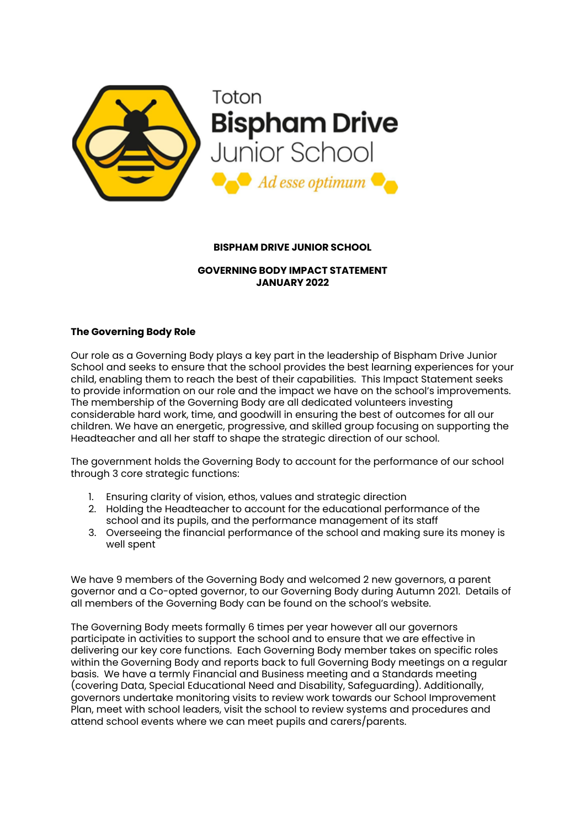

## **BISPHAM DRIVE JUNIOR SCHOOL**

#### **GOVERNING BODY IMPACT STATEMENT JANUARY 2022**

#### **The Governing Body Role**

Our role as a Governing Body plays a key part in the leadership of Bispham Drive Junior School and seeks to ensure that the school provides the best learning experiences for your child, enabling them to reach the best of their capabilities. This Impact Statement seeks to provide information on our role and the impact we have on the school's improvements. The membership of the Governing Body are all dedicated volunteers investing considerable hard work, time, and goodwill in ensuring the best of outcomes for all our children. We have an energetic, progressive, and skilled group focusing on supporting the Headteacher and all her staff to shape the strategic direction of our school.

The government holds the Governing Body to account for the performance of our school through 3 core strategic functions:

- 1. Ensuring clarity of vision, ethos, values and strategic direction
- 2. Holding the Headteacher to account for the educational performance of the school and its pupils, and the performance management of its staff
- 3. Overseeing the financial performance of the school and making sure its money is well spent

We have 9 members of the Governing Body and welcomed 2 new governors, a parent governor and a Co-opted governor, to our Governing Body during Autumn 2021. Details of all members of the Governing Body can be found on the school's website.

The Governing Body meets formally 6 times per year however all our governors participate in activities to support the school and to ensure that we are effective in delivering our key core functions. Each Governing Body member takes on specific roles within the Governing Body and reports back to full Governing Body meetings on a regular basis. We have a termly Financial and Business meeting and a Standards meeting (covering Data, Special Educational Need and Disability, Safeguarding). Additionally, governors undertake monitoring visits to review work towards our School Improvement Plan, meet with school leaders, visit the school to review systems and procedures and attend school events where we can meet pupils and carers/parents.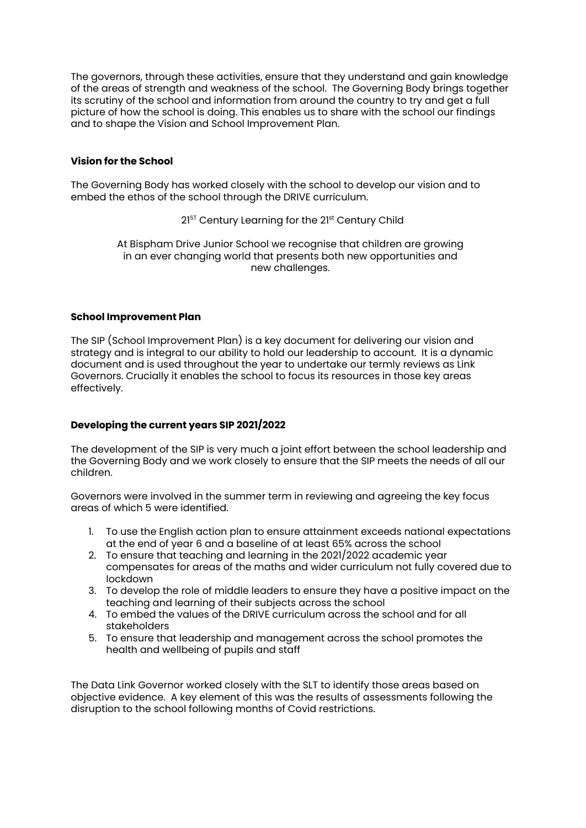The governors, through these activities, ensure that they understand and gain knowledge of the areas of strength and weakness of the school. The Governing Body brings together its scrutiny of the school and information from around the country to try and get a full picture of how the school is doing. This enables us to share with the school our findings and to shape the Vision and School Improvement Plan.

## **Vision for the School**

The Governing Body has worked closely with the school to develop our vision and to embed the ethos of the school through the DRIVE curriculum.

# 21<sup>st</sup> Century Learning for the 21st Century Child

At Bispham Drive Junior School we recognise that children are growing in an ever changing world that presents both new opportunities and new challenges.

## **School Improvement Plan**

The SIP (School Improvement Plan) is a key document for delivering our vision and strategy and is integral to our ability to hold our leadership to account. It is a dynamic document and is used throughout the year to undertake our termly reviews as Link Governors. Crucially it enables the school to focus its resources in those key areas effectively.

# **Developing the current years SIP 2021/2022**

The development of the SIP is very much a joint effort between the school leadership and the Governing Body and we work closely to ensure that the SIP meets the needs of all our children.

Governors were involved in the summer term in reviewing and agreeing the key focus areas of which 5 were identified.

- 1. To use the English action plan to ensure attainment exceeds national expectations at the end of year 6 and a baseline of at least 65% across the school
- 2. To ensure that teaching and learning in the 2021/2022 academic year compensates for areas of the maths and wider curriculum not fully covered due to lockdown
- 3. To develop the role of middle leaders to ensure they have a positive impact on the teaching and learning of their subjects across the school
- 4. To embed the values of the DRIVE curriculum across the school and for all stakeholders
- 5. To ensure that leadership and management across the school promotes the health and wellbeing of pupils and staff

The Data Link Governor worked closely with the SLT to identify those areas based on objective evidence. A key element of this was the results of assessments following the disruption to the school following months of Covid restrictions.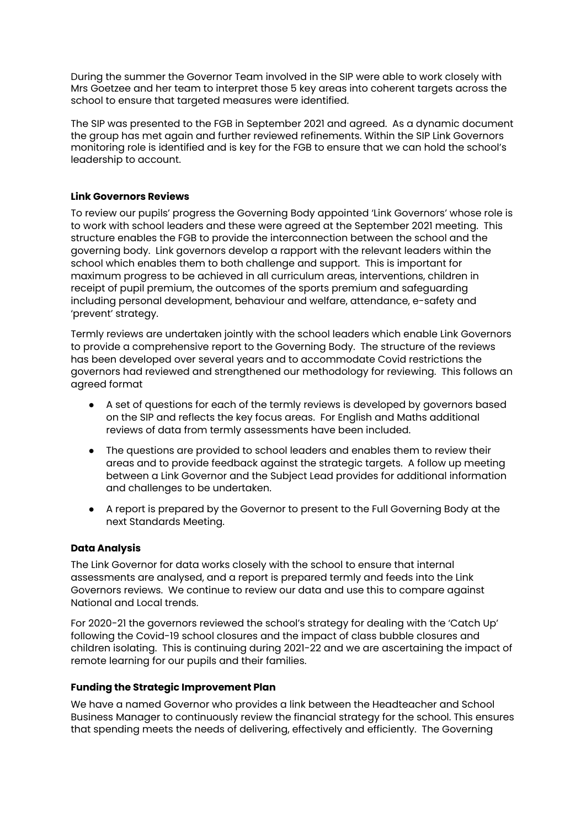During the summer the Governor Team involved in the SIP were able to work closely with Mrs Goetzee and her team to interpret those 5 key areas into coherent targets across the school to ensure that targeted measures were identified.

The SIP was presented to the FGB in September 2021 and agreed. As a dynamic document the group has met again and further reviewed refinements. Within the SIP Link Governors monitoring role is identified and is key for the FGB to ensure that we can hold the school's leadership to account.

# **Link Governors Reviews**

To review our pupils' progress the Governing Body appointed 'Link Governors' whose role is to work with school leaders and these were agreed at the September 2021 meeting. This structure enables the FGB to provide the interconnection between the school and the governing body. Link governors develop a rapport with the relevant leaders within the school which enables them to both challenge and support. This is important for maximum progress to be achieved in all curriculum areas, interventions, children in receipt of pupil premium, the outcomes of the sports premium and safeguarding including personal development, behaviour and welfare, attendance, e-safety and 'prevent' strategy.

Termly reviews are undertaken jointly with the school leaders which enable Link Governors to provide a comprehensive report to the Governing Body. The structure of the reviews has been developed over several years and to accommodate Covid restrictions the governors had reviewed and strengthened our methodology for reviewing. This follows an agreed format

- A set of questions for each of the termly reviews is developed by governors based on the SIP and reflects the key focus areas. For English and Maths additional reviews of data from termly assessments have been included.
- The questions are provided to school leaders and enables them to review their areas and to provide feedback against the strategic targets. A follow up meeting between a Link Governor and the Subject Lead provides for additional information and challenges to be undertaken.
- A report is prepared by the Governor to present to the Full Governing Body at the next Standards Meeting.

#### **Data Analysis**

The Link Governor for data works closely with the school to ensure that internal assessments are analysed, and a report is prepared termly and feeds into the Link Governors reviews. We continue to review our data and use this to compare against National and Local trends.

For 2020-21 the governors reviewed the school's strategy for dealing with the 'Catch Up' following the Covid-19 school closures and the impact of class bubble closures and children isolating. This is continuing during 2021-22 and we are ascertaining the impact of remote learning for our pupils and their families.

#### **Funding the Strategic Improvement Plan**

We have a named Governor who provides a link between the Headteacher and School Business Manager to continuously review the financial strategy for the school. This ensures that spending meets the needs of delivering, effectively and efficiently. The Governing